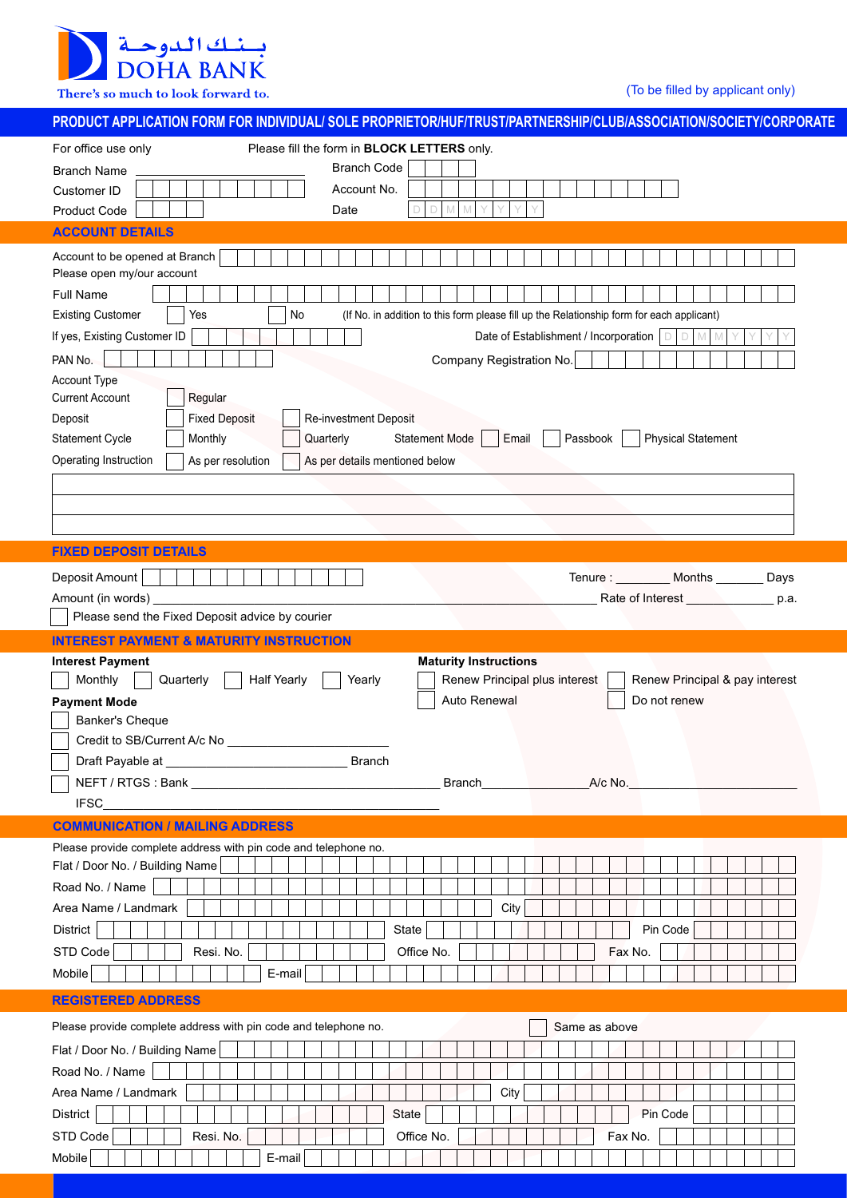بسنك الدوحية<br>DOHA BANK

There's so much to look forward to.

(To be filled by applicant only)

| <u>PRODUCT APPLICATION FORM FOR INDIVIDUAL/ SOLE PROPRIETOR/HUF/TRUST/PARTNERSHIP/CLUB/ASSOCIATION/SOCIETY/CORPORATE</u>                      |
|-----------------------------------------------------------------------------------------------------------------------------------------------|
| Please fill the form in BLOCK LETTERS only.<br>For office use only                                                                            |
| <b>Branch Code</b><br><b>Branch Name</b>                                                                                                      |
| Account No.<br>Customer ID                                                                                                                    |
| Date<br><b>Product Code</b>                                                                                                                   |
| <b>ACCOUNT DETAILS</b>                                                                                                                        |
| Account to be opened at Branch                                                                                                                |
| Please open my/our account                                                                                                                    |
| <b>Full Name</b>                                                                                                                              |
| $\mathsf{No}$<br><b>Existing Customer</b><br>Yes<br>(If No. in addition to this form please fill up the Relationship form for each applicant) |
| If yes, Existing Customer ID<br>Date of Establishment / Incorporation   D  <br>$D$ M<br>M                                                     |
| PAN No.<br>Company Registration No.                                                                                                           |
| Account Type                                                                                                                                  |
| <b>Current Account</b><br>Regular                                                                                                             |
| <b>Fixed Deposit</b><br>Deposit<br>Re-investment Deposit                                                                                      |
| Statement Cycle<br>Monthly<br>Quarterly<br><b>Statement Mode</b><br>Email<br><b>Physical Statement</b><br>Passbook                            |
| Operating Instruction<br>As per resolution<br>As per details mentioned below                                                                  |
|                                                                                                                                               |
|                                                                                                                                               |
|                                                                                                                                               |
| <b>FIXED DEPOSIT DETAILS</b>                                                                                                                  |
| Deposit Amount<br>Tenure : _________ Months ________ Days                                                                                     |
| Amount (in words)<br>Rate of Interest ______________<br>p.a.                                                                                  |
| Please send the Fixed Deposit advice by courier                                                                                               |
| <b>INTEREST PAYMENT &amp; MATURITY INSTRUCTION</b>                                                                                            |
| <b>Interest Payment</b><br><b>Maturity Instructions</b>                                                                                       |
| Monthly<br><b>Half Yearly</b><br>Renew Principal plus interest<br>Quarterly<br>Yearly<br>Renew Principal & pay interest                       |
| Auto Renewal<br>Do not renew<br><b>Payment Mode</b>                                                                                           |
| Banker's Cheque                                                                                                                               |
| Credit to SB/Current A/c No                                                                                                                   |
| Draft Payable at<br><b>Branch</b>                                                                                                             |
| Branch A/c No.                                                                                                                                |
| <b>IFSC</b>                                                                                                                                   |
| <b>COMMUNICATION / MAILING ADDRESS</b>                                                                                                        |
| Please provide complete address with pin code and telephone no.                                                                               |
| Flat / Door No. / Building Name                                                                                                               |
| Road No. / Name                                                                                                                               |
| Area Name / Landmark<br>City                                                                                                                  |
| District<br>State<br>Pin Code                                                                                                                 |
|                                                                                                                                               |
| STD Code<br>Resi. No.<br>Office No.<br>Fax No.                                                                                                |
|                                                                                                                                               |
| Mobile<br>$E$ -mail                                                                                                                           |
| <b>REGISTERED ADDRESS</b>                                                                                                                     |
| Please provide complete address with pin code and telephone no.<br>Same as above                                                              |
| Flat / Door No. / Building Name                                                                                                               |
| Road No. / Name                                                                                                                               |
| Area Name / Landmark<br>City                                                                                                                  |
| District<br>Pin Code<br>State                                                                                                                 |
| STD Code<br>Resi. No.<br>Office No.<br>Fax No.                                                                                                |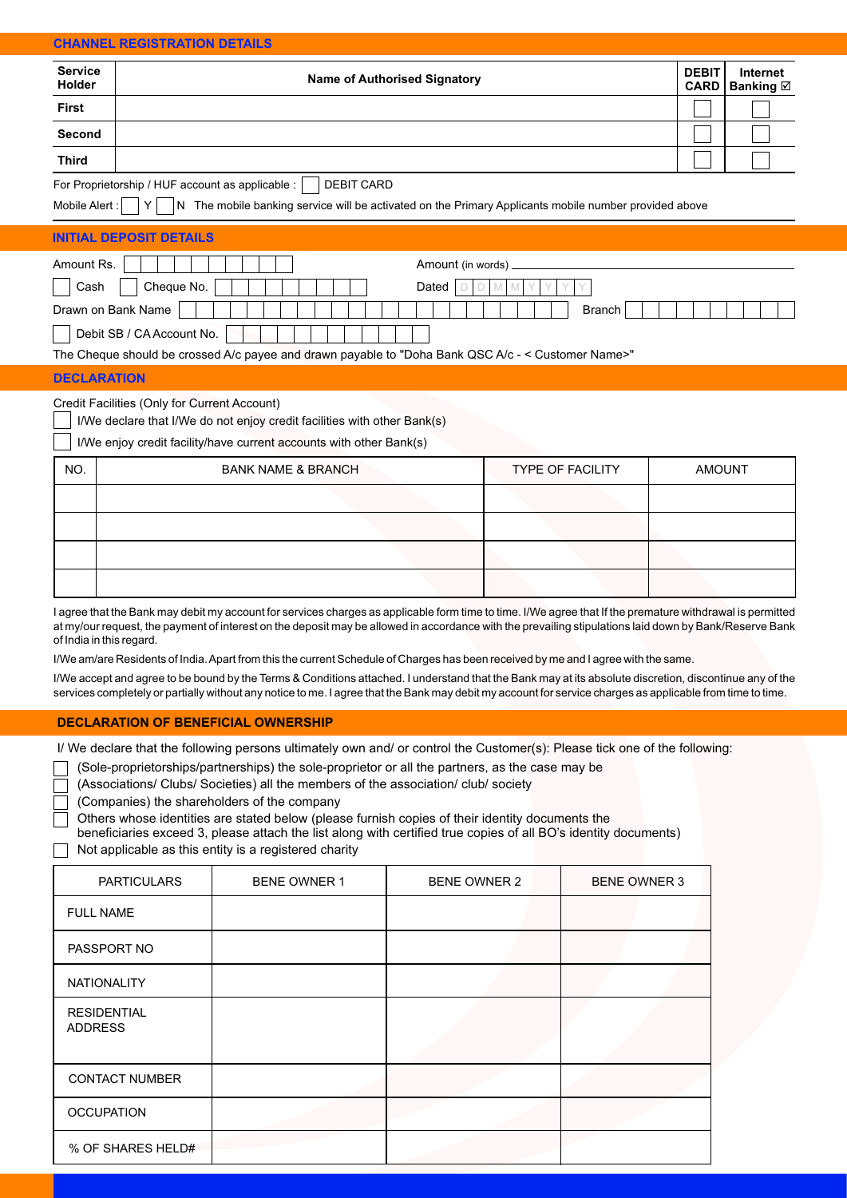## **CHANNEL REGISTRATION DETAILS**

| <b>Service</b><br>Holder | <b>Name of Authorised Signatory</b> | <b>DEBIT</b> | Internet<br>CARD Banking ⊠ |
|--------------------------|-------------------------------------|--------------|----------------------------|
| <b>First</b>             |                                     |              |                            |
| Second                   |                                     |              |                            |
| <b>Third</b>             |                                     |              |                            |

Mobile Alert :  $\left| Y \right|$  N The mobile banking service will be activated on the Primary Applicants mobile number provided above

#### Amount Re. **INITIAL DEPOSIT DETAILS**   $\lambda$  and  $\lambda$  words  $\lambda$

| AUVUIKIVA.                | $A$ $\cup$ $A$ $\cup$ $B$ $\cup$ $B$ $\cup$ $C$ $\cup$ $D$ $\cup$ $D$ $\cup$ $D$ $\cup$ |
|---------------------------|-----------------------------------------------------------------------------------------|
| Cheque No.<br>Cash        | Dated                                                                                   |
| Drawn on Bank Name        | <b>Branch</b>                                                                           |
| Debit SB / CA Account No. |                                                                                         |

#### The Cheque should be crossed A/c payee and drawn payable to "Doha Bank QSC A/c - < Customer Name>"

#### **DECLARATION**

#### Credit Facilities (Only for Current Account)

I/We declare that I/We do not enjoy credit facilities with other Bank(s)

I/We enjoy credit facility/have current accounts with other Bank(s)

| NO. | <b>BANK NAME &amp; BRANCH</b> | <b>TYPE OF FACILITY</b> | <b>AMOUNT</b> |
|-----|-------------------------------|-------------------------|---------------|
|     |                               |                         |               |
|     |                               |                         |               |
|     |                               |                         |               |
|     |                               |                         |               |

I agree that the Bank may debit my account for services charges as applicable form time to time. I/We agree that If the premature withdrawal is permitted at my/our request, the payment of interest on the deposit may be allowed in accordance with the prevailing stipulations laid down by Bank/Reserve Bank of India in this regard.

I/We am/are Residents of India. Apart from this the current Schedule of Charges has been received by me and I agree with the same.

I/We accept and agree to be bound by the Terms & Conditions attached. I understand that the Bank may at its absolute discretion, discontinue any of the services completely or partially without any notice to me. I agree that the Bank may debit my account for service charges as applicable from time to time.

## **DECLARATION OF BENEFICIAL OWNERSHIP**

I/ We declare that the following persons ultimately own and/ or control the Customer(s): Please tick one of the following:

(Sole-proprietorships/partnerships) the sole-proprietor or all the partners, as the case may be

(Associations/ Clubs/ Societies) all the members of the association/ club/ society

(Companies) the shareholders of the company

Others whose identities are stated below (please furnish copies of their identity documents the

beneficiaries exceed 3, please attach the list along with certified true copies of all BO's identity documents) Not applicable as this entity is a registered charity

| <b>PARTICULARS</b>                   | <b>BENE OWNER 1</b> | <b>BENE OWNER 2</b> | <b>BENE OWNER 3</b> |
|--------------------------------------|---------------------|---------------------|---------------------|
| <b>FULL NAME</b>                     |                     |                     |                     |
| PASSPORT NO                          |                     |                     |                     |
| <b>NATIONALITY</b>                   |                     |                     |                     |
| <b>RESIDENTIAL</b><br><b>ADDRESS</b> |                     |                     |                     |
| <b>CONTACT NUMBER</b>                |                     |                     |                     |
| <b>OCCUPATION</b>                    |                     |                     |                     |
| % OF SHARES HELD#                    |                     |                     |                     |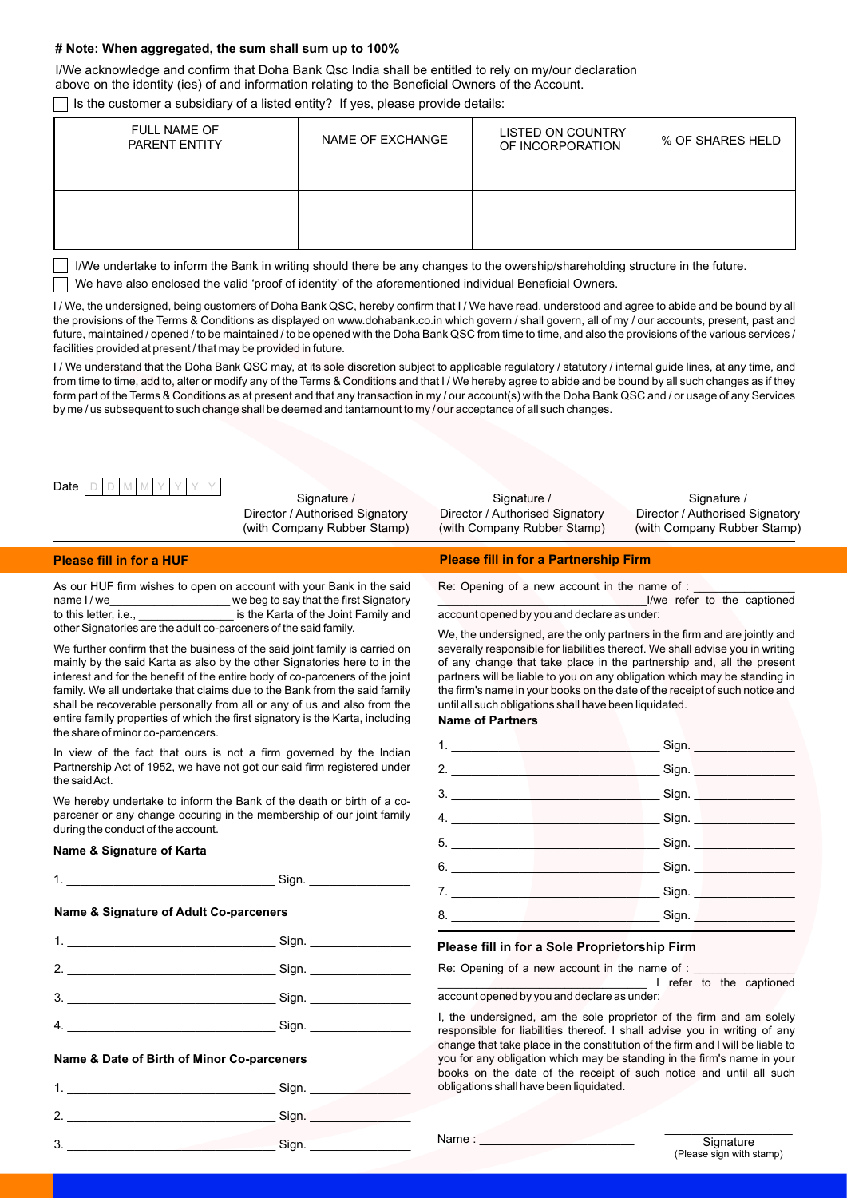## **# Note: When aggregated, the sum shall sum up to 100%**

I/We acknowledge and confirm that Doha Bank Qsc India shall be entitled to rely on my/our declaration above on the identity (ies) of and information relating to the Beneficial Owners of the Account.

Is the customer a subsidiary of a listed entity? If yes, please provide details:

| <b>FULL NAME OF</b><br>PARENT ENTITY | NAME OF EXCHANGE | LISTED ON COUNTRY<br>OF INCORPORATION | % OF SHARES HELD |
|--------------------------------------|------------------|---------------------------------------|------------------|
|                                      |                  |                                       |                  |
|                                      |                  |                                       |                  |
|                                      |                  |                                       |                  |

I/We undertake to inform the Bank in writing should there be any changes to the owership/shareholding structure in the future.

We have also enclosed the valid 'proof of identity' of the aforementioned individual Beneficial Owners.

I / We, the undersigned, being customers of Doha Bank QSC, hereby confirm that I / We have read, understood and agree to abide and be bound by all the provisions of the Terms & Conditions as displayed on www.dohabank.co.in which govern / shall govern, all of my / our accounts, present, past and future, maintained / opened / to be maintained / to be opened with the Doha Bank QSC from time to time, and also the provisions of the various services / facilities provided at present / that may be provided in future.

I/ We understand that the Doha Bank QSC may, at its sole discretion subject to applicable regulatory / statutory / internal guide lines, at any time, and from time to time, add to, alter or modify any of the Terms & Conditions and that I / We hereby agree to abide and be bound by all such changes as if they form part of the Terms & Conditions as at present and that any transaction in my / our account(s) with the Doha Bank QSC and / or usage of any Services by me / us subsequent to such change shall be deemed and tantamount to my / our acceptance of all such changes.

|  | Date. |  |  |  |  |  |  |  |  |
|--|-------|--|--|--|--|--|--|--|--|
|--|-------|--|--|--|--|--|--|--|--|

Signature / Director / Authorised Signatory (with Company Rubber Stamp)

Signature / Director / Authorised Signatory (with Company Rubber Stamp)

Signature / Director / Authorised Signatory (with Company Rubber Stamp)

### **Please fill in for a HUF**

As our HUF firm wishes to open on account with your Bank in the said name I/we can be a we beg to say that the first Signatory to this letter, i.e., \_\_\_\_\_\_\_\_\_\_\_\_\_\_\_\_\_\_\_ is the Karta of the Joint Family and other Signatories are the adult co-parceners of the said family.

We further confirm that the business of the said joint family is carried on mainly by the said Karta as also by the other Signatories here to in the interest and for the benefit of the entire body of co-parceners of the joint family. We all undertake that claims due to the Bank from the said family shall be recoverable personally from all or any of us and also from the entire family properties of which the first signatory is the Karta, including the share of minor co-parcencers.

In view of the fact that ours is not a firm governed by the lndian Partnership Act of 1952, we have not got our said firm registered under the said Act.

We hereby undertake to inform the Bank of the death or birth of a coparcener or any change occuring in the membership of our joint family during the conduct of the account.

## **Name & Signature of Karta**

| ∽ |
|---|
|   |

#### **Name & Signature of Adult Co-parceners**

| 1              | Sign. |
|----------------|-------|
| $\overline{2}$ |       |
| 3.             |       |
| 4.             | Sign. |

#### **Name & Date of Birth of Minor Co-parceners**

|         | Sign. |
|---------|-------|
| c       | Sign. |
| ≏<br>x. | Sign. |

#### **Please fill in for a Partnership Firm**

Re: Opening of a new account in the name of :

\_\_\_\_\_\_\_\_\_\_\_\_\_\_\_\_\_\_\_\_\_\_\_\_\_\_\_\_\_\_\_\_\_I/we refer to the captioned account opened by you and declare as under:

We, the undersigned, are the only partners in the firm and are jointly and severally responsible for liabilities thereof. We shall advise you in writing of any change that take place in the partnership and, all the present partners will be liable to you on any obligation which may be standing in the firm's name in your books on the date of the receipt of such notice and until all such obligations shall have been liquidated.

## **Name of Partners**

| 1.                                                    | Sign.                         |
|-------------------------------------------------------|-------------------------------|
| 2.                                                    | Sign.                         |
| 3.<br>the contract of the contract of the contract of | Sign.                         |
| 4.<br>the contract of the contract of the contract of | _____ Sign. _________________ |
| 5.<br>the contract of the contract of                 | Sign.                         |
| 6.                                                    | Sign.                         |
| 7.                                                    | Sign.                         |
|                                                       | Sign.                         |
|                                                       |                               |

## **Please fill in for a Sole Proprietorship Firm**

Re: Opening of a new account in the name of : \_\_\_\_\_\_\_\_\_\_\_\_\_\_\_\_\_\_\_\_\_\_\_\_\_\_\_\_\_\_\_\_\_ I refer to the captioned

account opened by you and declare as under:

I, the undersigned, am the sole proprietor of the firm and am solely responsible for liabilities thereof. I shall advise you in writing of any change that take place in the constitution of the firm and I will be liable to you for any obligation which may be standing in the firm's name in your books on the date of the receipt of such notice and until all such obligations shall have been liquidated.

Name :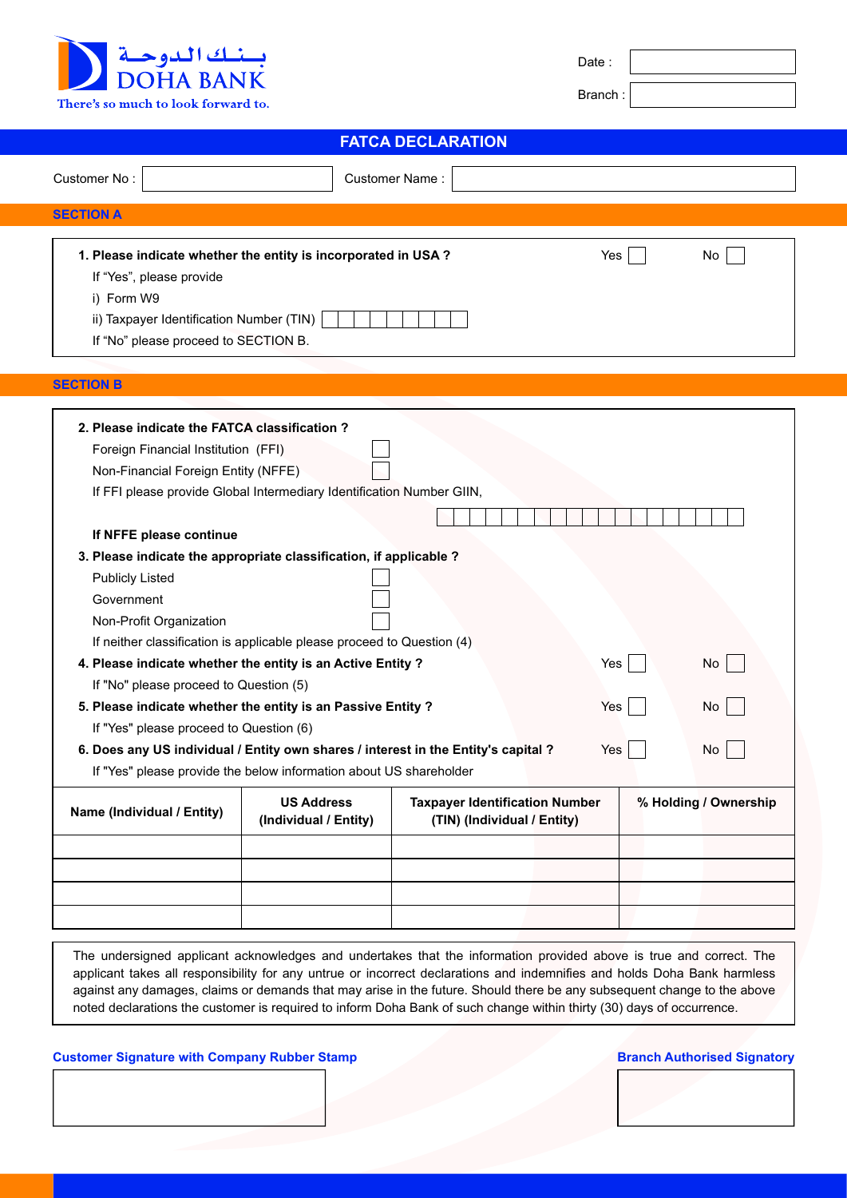

| Date |  |
|------|--|
|      |  |

Branch :

# **FATCA DECLARATION**

| Customer No:                                                                                                                                                                                                                                                                                                                                                                                                                                                            |                                                                                                                                                 | Customer Name:                                                       |            |                       |
|-------------------------------------------------------------------------------------------------------------------------------------------------------------------------------------------------------------------------------------------------------------------------------------------------------------------------------------------------------------------------------------------------------------------------------------------------------------------------|-------------------------------------------------------------------------------------------------------------------------------------------------|----------------------------------------------------------------------|------------|-----------------------|
| <b>SECTION A</b>                                                                                                                                                                                                                                                                                                                                                                                                                                                        |                                                                                                                                                 |                                                                      |            |                       |
| 1. Please indicate whether the entity is incorporated in USA?<br>If "Yes", please provide<br>i) Form W9<br>ii) Taxpayer Identification Number (TIN)<br>If "No" please proceed to SECTION B.                                                                                                                                                                                                                                                                             |                                                                                                                                                 |                                                                      | Yes        | No                    |
| <b>SECTION B</b>                                                                                                                                                                                                                                                                                                                                                                                                                                                        |                                                                                                                                                 |                                                                      |            |                       |
|                                                                                                                                                                                                                                                                                                                                                                                                                                                                         |                                                                                                                                                 |                                                                      |            |                       |
| 2. Please indicate the FATCA classification?<br>Foreign Financial Institution (FFI)<br>Non-Financial Foreign Entity (NFFE)<br>If NFFE please continue<br>3. Please indicate the appropriate classification, if applicable ?<br><b>Publicly Listed</b><br>Government<br>Non-Profit Organization<br>4. Please indicate whether the entity is an Active Entity ?<br>If "No" please proceed to Question (5)<br>5. Please indicate whether the entity is an Passive Entity ? | If FFI please provide Global Intermediary Identification Number GIIN,<br>If neither classification is applicable please proceed to Question (4) |                                                                      | Yes<br>Yes | No<br>No              |
| If "Yes" please proceed to Question (6)                                                                                                                                                                                                                                                                                                                                                                                                                                 |                                                                                                                                                 |                                                                      |            |                       |
| 6. Does any US individual / Entity own shares / interest in the Entity's capital ?                                                                                                                                                                                                                                                                                                                                                                                      |                                                                                                                                                 |                                                                      | Yes        | No                    |
|                                                                                                                                                                                                                                                                                                                                                                                                                                                                         | If "Yes" please provide the below information about US shareholder                                                                              |                                                                      |            |                       |
| Name (Individual / Entity)                                                                                                                                                                                                                                                                                                                                                                                                                                              | <b>US Address</b><br>(Individual / Entity)                                                                                                      | <b>Taxpayer Identification Number</b><br>(TIN) (Individual / Entity) |            | % Holding / Ownership |
|                                                                                                                                                                                                                                                                                                                                                                                                                                                                         |                                                                                                                                                 |                                                                      |            |                       |
|                                                                                                                                                                                                                                                                                                                                                                                                                                                                         |                                                                                                                                                 |                                                                      |            |                       |
|                                                                                                                                                                                                                                                                                                                                                                                                                                                                         |                                                                                                                                                 |                                                                      |            |                       |

The undersigned applicant acknowledges and undertakes that the information provided above is true and correct. The applicant takes all responsibility for any untrue or incorrect declarations and indemnifies and holds Doha Bank harmless against any damages, claims or demands that may arise in the future. Should there be any subsequent change to the above noted declarations the customer is required to inform Doha Bank of such change within thirty (30) days of occurrence.

**Customer Signature with Company Rubber Stamp <b>Branch Authorised Signatory Branch Authorised Signatory**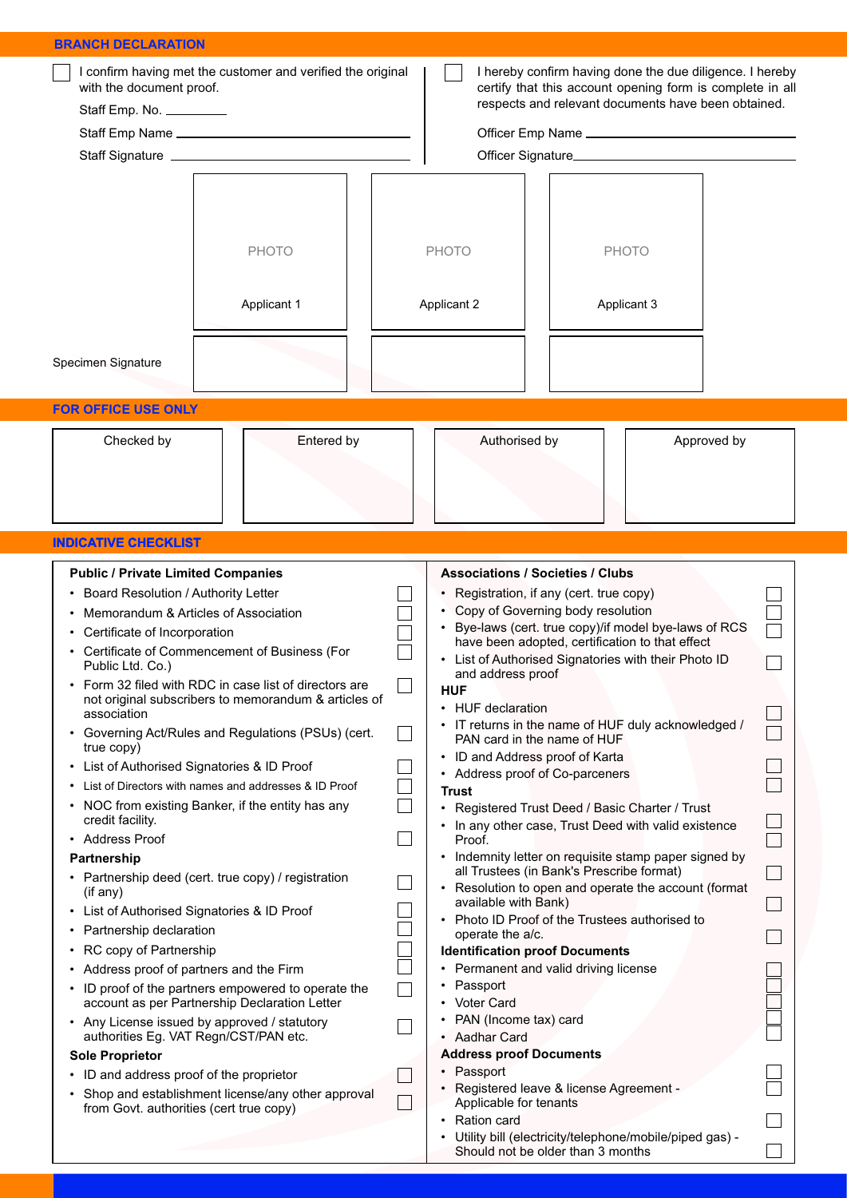| <b>BRANCH DECLARATION</b>                                                                                                                                                                                                                                                                                                                                                                                                                                                                                                                                                                                                                                                                                                                                                                                                                                                                                                                                                                                                                                                                                                                                                                                                                                                   |                                                                                                                                                                                                                                                                                                                                                                                                                                                                                                                                                                                                                                                                                                                                                                                                                                                                                                                                                                                                                                                                                                                                                                                                                                                                                                               |                                                                                                                                                                              |  |  |  |
|-----------------------------------------------------------------------------------------------------------------------------------------------------------------------------------------------------------------------------------------------------------------------------------------------------------------------------------------------------------------------------------------------------------------------------------------------------------------------------------------------------------------------------------------------------------------------------------------------------------------------------------------------------------------------------------------------------------------------------------------------------------------------------------------------------------------------------------------------------------------------------------------------------------------------------------------------------------------------------------------------------------------------------------------------------------------------------------------------------------------------------------------------------------------------------------------------------------------------------------------------------------------------------|---------------------------------------------------------------------------------------------------------------------------------------------------------------------------------------------------------------------------------------------------------------------------------------------------------------------------------------------------------------------------------------------------------------------------------------------------------------------------------------------------------------------------------------------------------------------------------------------------------------------------------------------------------------------------------------------------------------------------------------------------------------------------------------------------------------------------------------------------------------------------------------------------------------------------------------------------------------------------------------------------------------------------------------------------------------------------------------------------------------------------------------------------------------------------------------------------------------------------------------------------------------------------------------------------------------|------------------------------------------------------------------------------------------------------------------------------------------------------------------------------|--|--|--|
| I confirm having met the customer and verified the original<br>with the document proof.<br>Staff Emp. No. _________                                                                                                                                                                                                                                                                                                                                                                                                                                                                                                                                                                                                                                                                                                                                                                                                                                                                                                                                                                                                                                                                                                                                                         |                                                                                                                                                                                                                                                                                                                                                                                                                                                                                                                                                                                                                                                                                                                                                                                                                                                                                                                                                                                                                                                                                                                                                                                                                                                                                                               | I hereby confirm having done the due diligence. I hereby<br>certify that this account opening form is complete in all<br>respects and relevant documents have been obtained. |  |  |  |
| <b>PHOTO</b><br>Applicant 1<br>Specimen Signature<br><b>FOR OFFICE USE ONLY</b>                                                                                                                                                                                                                                                                                                                                                                                                                                                                                                                                                                                                                                                                                                                                                                                                                                                                                                                                                                                                                                                                                                                                                                                             | <b>PHOTO</b><br><b>PHOTO</b><br>Applicant 2<br>Applicant 3                                                                                                                                                                                                                                                                                                                                                                                                                                                                                                                                                                                                                                                                                                                                                                                                                                                                                                                                                                                                                                                                                                                                                                                                                                                    |                                                                                                                                                                              |  |  |  |
| Entered by<br>Checked by<br><b>INDICATIVE CHECKLIST</b>                                                                                                                                                                                                                                                                                                                                                                                                                                                                                                                                                                                                                                                                                                                                                                                                                                                                                                                                                                                                                                                                                                                                                                                                                     | Authorised by<br>Approved by                                                                                                                                                                                                                                                                                                                                                                                                                                                                                                                                                                                                                                                                                                                                                                                                                                                                                                                                                                                                                                                                                                                                                                                                                                                                                  |                                                                                                                                                                              |  |  |  |
| <b>Public / Private Limited Companies</b><br>Board Resolution / Authority Letter<br>Memorandum & Articles of Association<br>Certificate of Incorporation<br>Certificate of Commencement of Business (For<br>$\bullet$<br>Public Ltd. Co.)<br>Form 32 filed with RDC in case list of directors are<br>not original subscribers to memorandum & articles of<br>association<br>• Governing Act/Rules and Regulations (PSUs) (cert.<br>true copy)<br>List of Authorised Signatories & ID Proof<br>٠<br>List of Directors with names and addresses & ID Proof<br>NOC from existing Banker, if the entity has any<br>credit facility.<br>• Address Proof<br>Partnership<br>Partnership deed (cert. true copy) / registration<br>(if any)<br>List of Authorised Signatories & ID Proof<br>٠<br>Partnership declaration<br>٠<br>RC copy of Partnership<br>٠<br>• Address proof of partners and the Firm<br>• ID proof of the partners empowered to operate the<br>account as per Partnership Declaration Letter<br>• Any License issued by approved / statutory<br>authorities Eg. VAT Regn/CST/PAN etc.<br><b>Sole Proprietor</b><br>• ID and address proof of the proprietor<br>Shop and establishment license/any other approval<br>٠<br>from Govt. authorities (cert true copy) | <b>Associations / Societies / Clubs</b><br>• Registration, if any (cert. true copy)<br>Copy of Governing body resolution<br>Bye-laws (cert. true copy)/if model bye-laws of RCS<br>have been adopted, certification to that effect<br>List of Authorised Signatories with their Photo ID<br>and address proof<br><b>HUF</b><br>• HUF declaration<br>• IT returns in the name of HUF duly acknowledged /<br>PAN card in the name of HUF<br>• ID and Address proof of Karta<br>• Address proof of Co-parceners<br><b>Trust</b><br>• Registered Trust Deed / Basic Charter / Trust<br>• In any other case, Trust Deed with valid existence<br>Proof.<br>Indemnity letter on requisite stamp paper signed by<br>all Trustees (in Bank's Prescribe format)<br>• Resolution to open and operate the account (format<br>available with Bank)<br>• Photo ID Proof of the Trustees authorised to<br>operate the a/c.<br><b>Identification proof Documents</b><br>• Permanent and valid driving license<br>Passport<br><b>Voter Card</b><br>• PAN (Income tax) card<br>• Aadhar Card<br><b>Address proof Documents</b><br>Passport<br>• Registered leave & license Agreement -<br>Applicable for tenants<br>Ration card<br>Utility bill (electricity/telephone/mobile/piped gas) -<br>Should not be older than 3 months |                                                                                                                                                                              |  |  |  |